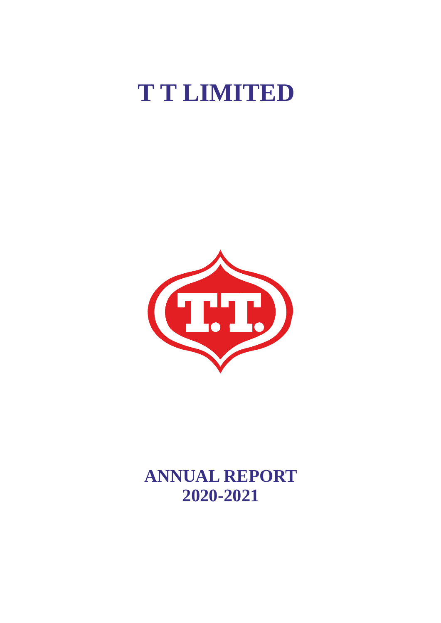# **T T LIMITED**



**ANNUAL REPORT 2020-2021**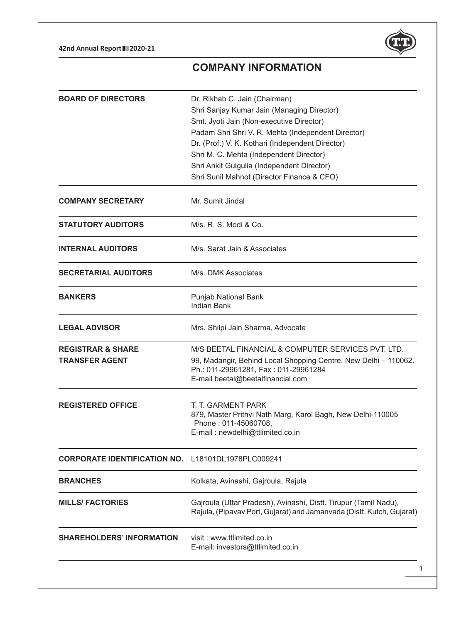**42nd Annual Report 2020-21**



# **Company Information**

| <b>BOARD OF DIRECTORS</b>                             | Dr. Rikhab C. Jain (Chairman)<br>Shri Sanjay Kumar Jain (Managing Director)<br>Smt. Jyoti Jain (Non-executive Director)<br>Padam Shri Shri V. R. Mehta (Independent Director)<br>Dr. (Prof.) V. K. Kothari (Independent Director)<br>Shri M. C. Mehta (Independent Director)<br>Shri Ankit Gulgulia (Independent Director)<br>Shri Sunil Mahnot (Director Finance & CFO) |
|-------------------------------------------------------|--------------------------------------------------------------------------------------------------------------------------------------------------------------------------------------------------------------------------------------------------------------------------------------------------------------------------------------------------------------------------|
| <b>COMPANY SECRETARY</b>                              | Mr. Sumit Jindal                                                                                                                                                                                                                                                                                                                                                         |
| <b>STATUTORY AUDITORS</b>                             | M/s. R. S. Modi & Co.                                                                                                                                                                                                                                                                                                                                                    |
| <b>INTERNAL AUDITORS</b>                              | M/s. Sarat Jain & Associates                                                                                                                                                                                                                                                                                                                                             |
| <b>SECRETARIAL AUDITORS</b>                           | M/s. DMK Associates                                                                                                                                                                                                                                                                                                                                                      |
| <b>BANKERS</b>                                        | Punjab National Bank<br><b>Indian Bank</b>                                                                                                                                                                                                                                                                                                                               |
| <b>LEGAL ADVISOR</b>                                  | Mrs. Shilpi Jain Sharma, Advocate                                                                                                                                                                                                                                                                                                                                        |
| <b>REGISTRAR &amp; SHARE</b><br><b>TRANSFER AGENT</b> | M/S BEETAL FINANCIAL & COMPUTER SERVICES PVT. LTD.<br>99, Madangir, Behind Local Shopping Centre, New Delhi - 110062.<br>Ph.: 011-29961281, Fax: 011-29961284<br>E-mail beetal@beetalfinancial.com                                                                                                                                                                       |
| <b>REGISTERED OFFICE</b>                              | T. T. GARMENT PARK<br>879, Master Prithvi Nath Marg, Karol Bagh, New Delhi-110005<br>Phone: 011-45060708,<br>E-mail: newdelhi@ttlimited.co.in                                                                                                                                                                                                                            |
| <b>CORPORATE IDENTIFICATION NO.</b>                   | L18101DL1978PLC009241                                                                                                                                                                                                                                                                                                                                                    |
| <b>BRANCHES</b>                                       | Kolkata, Avinashi, Gajroula, Rajula                                                                                                                                                                                                                                                                                                                                      |
| <b>MILLS/ FACTORIES</b>                               | Gajroula (Uttar Pradesh), Avinashi, Distt. Tirupur (Tamil Nadu),<br>Rajula, (Pipavav Port, Gujarat) and Jamanvada (Distt. Kutch, Gujarat)                                                                                                                                                                                                                                |
| <b>SHAREHOLDERS' INFORMATION</b>                      | visit: www.ttlimited.co.in<br>E-mail: investors@ttlimited.co.in                                                                                                                                                                                                                                                                                                          |
|                                                       |                                                                                                                                                                                                                                                                                                                                                                          |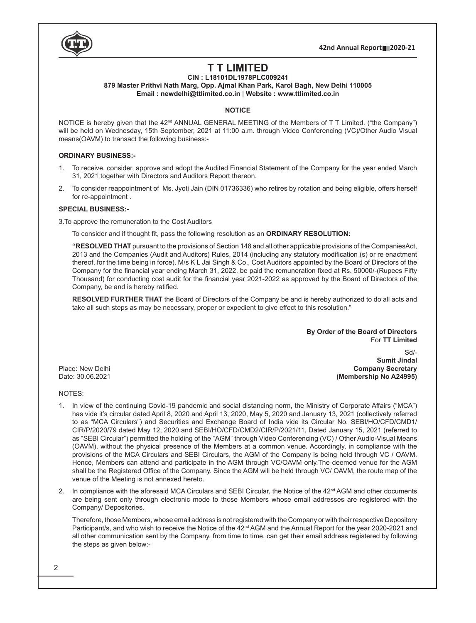

# **T T Limited**

# **CIN : L18101DL1978PLC009241**

**879 Master Prithvi Nath Marg, Opp. Ajmal Khan Park, Karol Bagh, New Delhi 110005 Email : newdelhi@ttlimited.co.in** | **Website : www.ttlimited.co.in**

## **NOTICE**

NOTICE is hereby given that the 42<sup>nd</sup> ANNUAL GENERAL MEETING of the Members of T T Limited. ("the Company") will be held on Wednesday, 15th September, 2021 at 11:00 a.m. through Video Conferencing (VC)/Other Audio Visual means(OAVM) to transact the following business:-

# **ORDINARY BUSINESS:-**

- 1. To receive, consider, approve and adopt the Audited Financial Statement of the Company for the year ended March 31, 2021 together with Directors and Auditors Report thereon.
- 2. To consider reappointment of Ms. Jyoti Jain (DIN 01736336) who retires by rotation and being eligible, offers herself for re-appointment .

## **SPECIAL BUSINESS:-**

3.To approve the remuneration to the Cost Auditors

 To consider and if thought fit, pass the following resolution as an **ORDINARY RESOLUTION:**

**"RESOLVED THAT** pursuant to the provisions of Section 148 and all other applicable provisions of the CompaniesAct, 2013 and the Companies (Audit and Auditors) Rules, 2014 (including any statutory modification (s) or re enactment thereof, for the time being in force). M/s K L Jai Singh & Co., Cost Auditors appointed by the Board of Directors of the Company for the financial year ending March 31, 2022, be paid the remuneration fixed at Rs. 50000/-(Rupees Fifty Thousand) for conducting cost audit for the financial year 2021-2022 as approved by the Board of Directors of the Company, be and is hereby ratified.

**RESOLVED FURTHER THAT** the Board of Directors of the Company be and is hereby authorized to do all acts and take all such steps as may be necessary, proper or expedient to give effect to this resolution."

> **By Order of the Board of Directors** For **TT Limited**

Sd/- **Sumit Jindal** Place: New Delhi **Company Secretary (Membership No A24995)** 

#### NOTES:

- 1. In view of the continuing Covid-19 pandemic and social distancing norm, the Ministry of Corporate Affairs ("MCA") has vide it's circular dated April 8, 2020 and April 13, 2020, May 5, 2020 and January 13, 2021 (collectively referred to as "MCA Circulars") and Securities and Exchange Board of India vide its Circular No. SEBI/HO/CFD/CMD1/ CIR/P/2020/79 dated May 12, 2020 and SEBI/HO/CFD/CMD2/CIR/P/2021/11, Dated January 15, 2021 (referred to as "SEBI Circular") permitted the holding of the "AGM" through Video Conferencing (VC) / Other Audio-Visual Means (OAVM), without the physical presence of the Members at a common venue. Accordingly, in compliance with the provisions of the MCA Circulars and SEBI Circulars, the AGM of the Company is being held through VC / OAVM. Hence, Members can attend and participate in the AGM through VC/OAVM only.The deemed venue for the AGM shall be the Registered Office of the Company. Since the AGM will be held through VC/ OAVM, the route map of the venue of the Meeting is not annexed hereto.
- 2. In compliance with the aforesaid MCA Circulars and SEBI Circular, the Notice of the  $42^{nd}$  AGM and other documents are being sent only through electronic mode to those Members whose email addresses are registered with the Company/ Depositories.

Therefore, those Members, whose email address is not registered with the Company or with their respective Depository Participant/s, and who wish to receive the Notice of the 42<sup>nd</sup> AGM and the Annual Report for the year 2020-2021 and all other communication sent by the Company, from time to time, can get their email address registered by following the steps as given below:-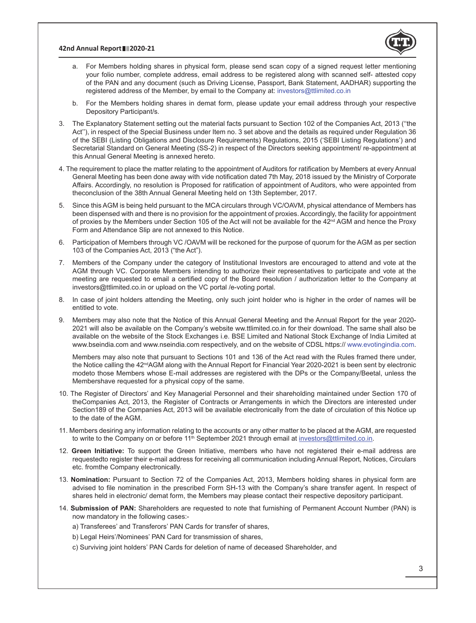#### **42nd Annual Report 2020-21**



- a. For Members holding shares in physical form, please send scan copy of a signed request letter mentioning your folio number, complete address, email address to be registered along with scanned self- attested copy of the PAN and any document (such as Driving License, Passport, Bank Statement, AADHAR) supporting the registered address of the Member, by email to the Company at: investors@ttlimited.co.in
- b. For the Members holding shares in demat form, please update your email address through your respective Depository Participant/s.
- 3. The Explanatory Statement setting out the material facts pursuant to Section 102 of the Companies Act, 2013 (''the Act''), in respect of the Special Business under Item no. 3 set above and the details as required under Regulation 36 of the SEBI (Listing Obligations and Disclosure Requirements) Regulations, 2015 ('SEBI Listing Regulations') and Secretarial Standard on General Meeting (SS-2) in respect of the Directors seeking appointment/ re-appointment at this Annual General Meeting is annexed hereto.
- 4. The requirement to place the matter relating to the appointment of Auditors for ratification by Members at every Annual General Meeting has been done away with vide notification dated 7th May, 2018 issued by the Ministry of Corporate Affairs. Accordingly, no resolution is Proposed for ratification of appointment of Auditors, who were appointed from theconclusion of the 38th Annual General Meeting held on 13th September, 2017.
- 5. Since this AGM is being held pursuant to the MCA circulars through VC/OAVM, physical attendance of Members has been dispensed with and there is no provision for the appointment of proxies. Accordingly, the facility for appointment of proxies by the Members under Section 105 of the Act will not be available for the  $42^{nd}$  AGM and hence the Proxy Form and Attendance Slip are not annexed to this Notice.
- 6. Participation of Members through VC /OAVM will be reckoned for the purpose of quorum for the AGM as per section 103 of the Companies Act, 2013 ("the Act").
- 7. Members of the Company under the category of Institutional Investors are encouraged to attend and vote at the AGM through VC. Corporate Members intending to authorize their representatives to participate and vote at the meeting are requested to email a certified copy of the Board resolution / authorization letter to the Company at investors@ttlimited.co.in or upload on the VC portal /e-voting portal.
- 8. In case of joint holders attending the Meeting, only such joint holder who is higher in the order of names will be entitled to vote.
- 9. Members may also note that the Notice of this Annual General Meeting and the Annual Report for the year 2020- 2021 will also be available on the Company's website ww.ttlimited.co.in for their download. The same shall also be available on the website of the Stock Exchanges i.e. BSE Limited and National Stock Exchange of India Limited at www.bseindia.com and www.nseindia.com respectively, and on the website of CDSL https:// www.evotingindia.com.

Members may also note that pursuant to Sections 101 and 136 of the Act read with the Rules framed there under, the Notice calling the 42<sup>nd</sup>AGM along with the Annual Report for Financial Year 2020-2021 is been sent by electronic modeto those Members whose E-mail addresses are registered with the DPs or the Company/Beetal, unless the Membershave requested for a physical copy of the same.

- 10. The Register of Directors' and Key Managerial Personnel and their shareholding maintained under Section 170 of theCompanies Act, 2013, the Register of Contracts or Arrangements in which the Directors are interested under Section189 of the Companies Act, 2013 will be available electronically from the date of circulation of this Notice up to the date of the AGM.
- 11. Members desiring any information relating to the accounts or any other matter to be placed at the AGM, are requested to write to the Company on or before 11<sup>th</sup> September 2021 through email at investors@ttlimited.co.in.
- 12. **Green Initiative:** To support the Green Initiative, members who have not registered their e-mail address are requestedto register their e-mail address for receiving all communication including Annual Report, Notices, Circulars etc. fromthe Company electronically.
- 13. **Nomination:** Pursuant to Section 72 of the Companies Act, 2013, Members holding shares in physical form are advised to file nomination in the prescribed Form SH-13 with the Company's share transfer agent. In respect of shares held in electronic/ demat form, the Members may please contact their respective depository participant.
- 14. **Submission of PAN:** Shareholders are requested to note that furnishing of Permanent Account Number (PAN) is now mandatory in the following cases:
	- a) Transferees' and Transferors' PAN Cards for transfer of shares,
	- b) Legal Heirs'/Nominees' PAN Card for transmission of shares,
	- c) Surviving joint holders' PAN Cards for deletion of name of deceased Shareholder, and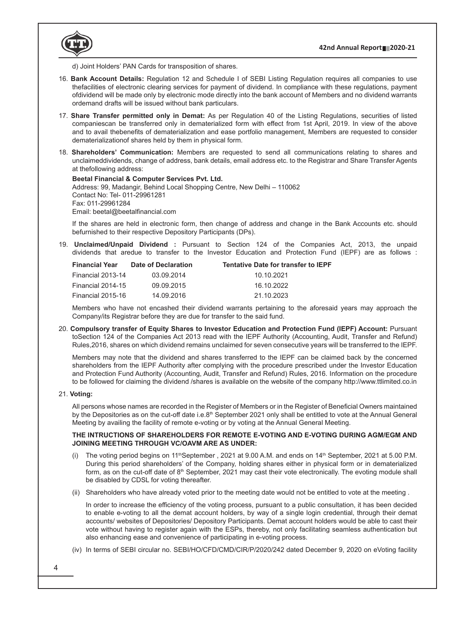

d) Joint Holders' PAN Cards for transposition of shares.

- 16. **Bank Account Details:** Regulation 12 and Schedule I of SEBI Listing Regulation requires all companies to use thefacilities of electronic clearing services for payment of dividend. In compliance with these regulations, payment ofdividend will be made only by electronic mode directly into the bank account of Members and no dividend warrants ordemand drafts will be issued without bank particulars.
- 17. **Share Transfer permitted only in Demat:** As per Regulation 40 of the Listing Regulations, securities of listed companiescan be transferred only in dematerialized form with effect from 1st April, 2019. In view of the above and to avail thebenefits of dematerialization and ease portfolio management, Members are requested to consider dematerializationof shares held by them in physical form.
- 18. **Shareholders' Communication:** Members are requested to send all communications relating to shares and unclaimeddividends, change of address, bank details, email address etc. to the Registrar and Share Transfer Agents at thefollowing address:

#### **Beetal Financial & Computer Services Pvt. Ltd.**

Address: 99, Madangir, Behind Local Shopping Centre, New Delhi – 110062 Contact No: Tel- 011-29961281 Fax: 011-29961284 Email: beetal@beetalfinancial.com

If the shares are held in electronic form, then change of address and change in the Bank Accounts etc. should befurnished to their respective Depository Participants (DPs).

19. **Unclaimed/Unpaid Dividend :** Pursuant to Section 124 of the Companies Act, 2013, the unpaid dividends that aredue to transfer to the Investor Education and Protection Fund (IEPF) are as follows :

| <b>Financial Year</b> | Date of Declaration | <b>Tentative Date for transfer to IEPF</b> |
|-----------------------|---------------------|--------------------------------------------|
| Financial 2013-14     | 03.09.2014          | 10.10.2021                                 |
| Financial 2014-15     | 09.09.2015          | 16.10.2022                                 |
| Financial 2015-16     | 14.09.2016          | 21.10.2023                                 |

Members who have not encashed their dividend warrants pertaining to the aforesaid years may approach the Company/its Registrar before they are due for transfer to the said fund.

20. **Compulsory transfer of Equity Shares to Investor Education and Protection Fund (IEPF) Account:** Pursuant toSection 124 of the Companies Act 2013 read with the IEPF Authority (Accounting, Audit, Transfer and Refund) Rules,2016, shares on which dividend remains unclaimed for seven consecutive years will be transferred to the IEPF.

Members may note that the dividend and shares transferred to the IEPF can be claimed back by the concerned shareholders from the IEPF Authority after complying with the procedure prescribed under the Investor Education and Protection Fund Authority (Accounting, Audit, Transfer and Refund) Rules, 2016. Information on the procedure to be followed for claiming the dividend /shares is available on the website of the company http://www.ttlimited.co.in

#### 21. **Voting:**

 All persons whose names are recorded in the Register of Members or in the Register of Beneficial Owners maintained by the Depositories as on the cut-off date i.e.8<sup>th</sup> September 2021 only shall be entitled to vote at the Annual General Meeting by availing the facility of remote e-voting or by voting at the Annual General Meeting.

# **THE INTRUCTIONS OF SHAREHOLDERS FOR REMOTE E-VOTING AND E-VOTING DURING AGM/EGM AND JOINING MEETING THROUGH VC/OAVM ARE AS UNDER:**

- (i) The voting period begins on  $11th$ September, 2021 at 9.00 A.M. and ends on  $14th$  September, 2021 at 5.00 P.M. During this period shareholders' of the Company, holding shares either in physical form or in dematerialized form, as on the cut-off date of 8<sup>th</sup> September, 2021 may cast their vote electronically. The evoting module shall be disabled by CDSL for voting thereafter.
- (ii) Shareholders who have already voted prior to the meeting date would not be entitled to vote at the meeting .

 In order to increase the efficiency of the voting process, pursuant to a public consultation, it has been decided to enable e-voting to all the demat account holders, by way of a single login credential, through their demat accounts/ websites of Depositories/ Depository Participants. Demat account holders would be able to cast their vote without having to register again with the ESPs, thereby, not only facilitating seamless authentication but also enhancing ease and convenience of participating in e-voting process.

(iv) In terms of SEBI circular no. SEBI/HO/CFD/CMD/CIR/P/2020/242 dated December 9, 2020 on eVoting facility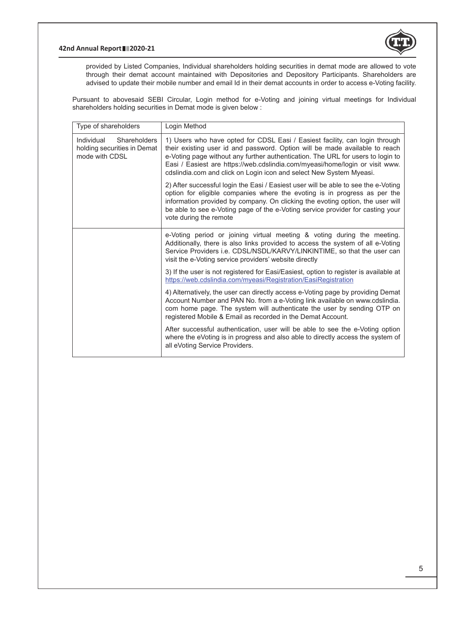#### **42nd Annual Report 2020-21**



provided by Listed Companies, Individual shareholders holding securities in demat mode are allowed to vote through their demat account maintained with Depositories and Depository Participants. Shareholders are advised to update their mobile number and email Id in their demat accounts in order to access e-Voting facility.

Pursuant to abovesaid SEBI Circular, Login method for e-Voting and joining virtual meetings for Individual shareholders holding securities in Demat mode is given below :

| Type of shareholders                                                        | Login Method                                                                                                                                                                                                                                                                                                                                                                                         |  |
|-----------------------------------------------------------------------------|------------------------------------------------------------------------------------------------------------------------------------------------------------------------------------------------------------------------------------------------------------------------------------------------------------------------------------------------------------------------------------------------------|--|
| Shareholders<br>Individual<br>holding securities in Demat<br>mode with CDSL | 1) Users who have opted for CDSL Easi / Easiest facility, can login through<br>their existing user id and password. Option will be made available to reach<br>e-Voting page without any further authentication. The URL for users to login to<br>Easi / Easiest are https://web.cdslindia.com/myeasi/home/login or visit www.<br>cdslindia.com and click on Login icon and select New System Myeasi. |  |
|                                                                             | 2) After successful login the Easi / Easiest user will be able to see the e-Voting<br>option for eligible companies where the evoting is in progress as per the<br>information provided by company. On clicking the evoting option, the user will<br>be able to see e-Voting page of the e-Voting service provider for casting your<br>vote during the remote                                        |  |
|                                                                             | e-Voting period or joining virtual meeting & voting during the meeting.<br>Additionally, there is also links provided to access the system of all e-Voting<br>Service Providers i.e. CDSL/NSDL/KARVY/LINKINTIME, so that the user can<br>visit the e-Voting service providers' website directly                                                                                                      |  |
|                                                                             | 3) If the user is not registered for Easi/Easiest, option to register is available at<br>https://web.cdslindia.com/myeasi/Registration/EasiRegistration                                                                                                                                                                                                                                              |  |
|                                                                             | 4) Alternatively, the user can directly access e-Voting page by providing Demat<br>Account Number and PAN No. from a e-Voting link available on www.cdslindia.<br>com home page. The system will authenticate the user by sending OTP on<br>registered Mobile & Email as recorded in the Demat Account.                                                                                              |  |
|                                                                             | After successful authentication, user will be able to see the e-Voting option<br>where the eVoting is in progress and also able to directly access the system of<br>all eVoting Service Providers.                                                                                                                                                                                                   |  |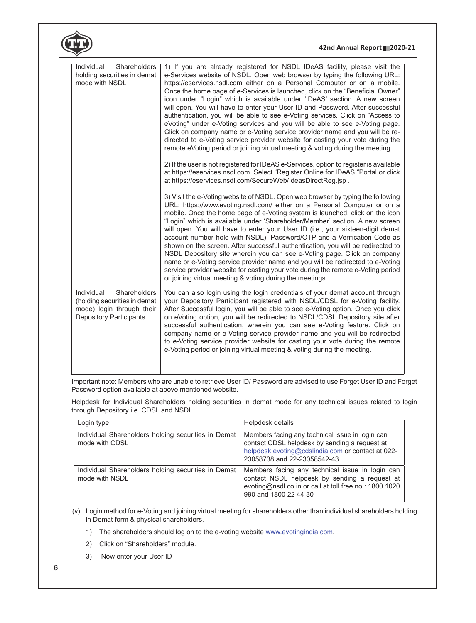|                                                                                                                           | 42nd Annual Report 2020-21                                                                                                                                                                                                                                                                                                                                                                                                                                                                                                                                                                                                                                                                                                                                                                                                                                                                                                                                                                                                                                                                                                                                                                                                                                                                                                                                                                                                                                                                                                                                                                                                                                                                                                                                                                                                                                                                                                                                                                                                                     |  |
|---------------------------------------------------------------------------------------------------------------------------|------------------------------------------------------------------------------------------------------------------------------------------------------------------------------------------------------------------------------------------------------------------------------------------------------------------------------------------------------------------------------------------------------------------------------------------------------------------------------------------------------------------------------------------------------------------------------------------------------------------------------------------------------------------------------------------------------------------------------------------------------------------------------------------------------------------------------------------------------------------------------------------------------------------------------------------------------------------------------------------------------------------------------------------------------------------------------------------------------------------------------------------------------------------------------------------------------------------------------------------------------------------------------------------------------------------------------------------------------------------------------------------------------------------------------------------------------------------------------------------------------------------------------------------------------------------------------------------------------------------------------------------------------------------------------------------------------------------------------------------------------------------------------------------------------------------------------------------------------------------------------------------------------------------------------------------------------------------------------------------------------------------------------------------------|--|
| Shareholders<br>Individual<br>holding securities in demat<br>mode with NSDL                                               | 1) If you are already registered for NSDL IDeAS facility, please visit the<br>e-Services website of NSDL. Open web browser by typing the following URL:<br>https://eservices.nsdl.com either on a Personal Computer or on a mobile.<br>Once the home page of e-Services is launched, click on the "Beneficial Owner"<br>icon under "Login" which is available under 'IDeAS' section. A new screen<br>will open. You will have to enter your User ID and Password. After successful<br>authentication, you will be able to see e-Voting services. Click on "Access to<br>eVoting" under e-Voting services and you will be able to see e-Voting page.<br>Click on company name or e-Voting service provider name and you will be re-<br>directed to e-Voting service provider website for casting your vote during the<br>remote eVoting period or joining virtual meeting & voting during the meeting.<br>2) If the user is not registered for IDeAS e-Services, option to register is available<br>at https://eservices.nsdl.com. Select "Register Online for IDeAS "Portal or click<br>at https://eservices.nsdl.com/SecureWeb/IdeasDirectReg.jsp.<br>3) Visit the e-Voting website of NSDL. Open web browser by typing the following<br>URL: https://www.evoting.nsdl.com/ either on a Personal Computer or on a<br>mobile. Once the home page of e-Voting system is launched, click on the icon<br>"Login" which is available under 'Shareholder/Member' section. A new screen<br>will open. You will have to enter your User ID (i.e., your sixteen-digit demat<br>account number hold with NSDL), Password/OTP and a Verification Code as<br>shown on the screen. After successful authentication, you will be redirected to<br>NSDL Depository site wherein you can see e-Voting page. Click on company<br>name or e-Voting service provider name and you will be redirected to e-Voting<br>service provider website for casting your vote during the remote e-Voting period<br>or joining virtual meeting & voting during the meetings. |  |
| Shareholders<br>Individual<br>(holding securities in demat<br>mode) login through their<br><b>Depository Participants</b> | You can also login using the login credentials of your demat account through<br>your Depository Participant registered with NSDL/CDSL for e-Voting facility.<br>After Successful login, you will be able to see e-Voting option. Once you click<br>on eVoting option, you will be redirected to NSDL/CDSL Depository site after<br>successful authentication, wherein you can see e-Voting feature. Click on<br>company name or e-Voting service provider name and you will be redirected<br>to e-Voting service provider website for casting your vote during the remote<br>e-Voting period or joining virtual meeting & voting during the meeting.                                                                                                                                                                                                                                                                                                                                                                                                                                                                                                                                                                                                                                                                                                                                                                                                                                                                                                                                                                                                                                                                                                                                                                                                                                                                                                                                                                                           |  |

Important note: Members who are unable to retrieve User ID/ Password are advised to use Forget User ID and Forget Password option available at above mentioned website.

Helpdesk for Individual Shareholders holding securities in demat mode for any technical issues related to login through Depository i.e. CDSL and NSDL

| Login type                                                            | Helpdesk details                                                                                                                                                                     |
|-----------------------------------------------------------------------|--------------------------------------------------------------------------------------------------------------------------------------------------------------------------------------|
| Individual Shareholders holding securities in Demat<br>mode with CDSL | Members facing any technical issue in login can<br>contact CDSL helpdesk by sending a request at<br>helpdesk.evoting@cdslindia.com or contact at 022-<br>23058738 and 22-23058542-43 |
| Individual Shareholders holding securities in Demat<br>mode with NSDL | Members facing any technical issue in login can<br>contact NSDL helpdesk by sending a request at<br>evoting@nsdl.co.in or call at toll free no.: 1800 1020<br>990 and 1800 22 44 30  |

(v) Login method for e-Voting and joining virtual meeting for shareholders other than individual shareholders holding in Demat form & physical shareholders.

- 1) The shareholders should log on to the e-voting website www.evotingindia.com.
- 2) Click on "Shareholders" module.
- 3) Now enter your User ID

6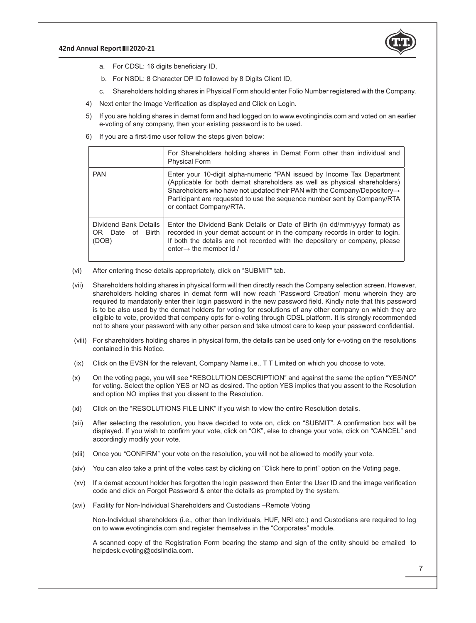

- a. For CDSL: 16 digits beneficiary ID,
- b. For NSDL: 8 Character DP ID followed by 8 Digits Client ID,
- c. Shareholders holding shares in Physical Form should enter Folio Number registered with the Company.
- 4) Next enter the Image Verification as displayed and Click on Login.
- 5) If you are holding shares in demat form and had logged on to www.evotingindia.com and voted on an earlier e-voting of any company, then your existing password is to be used.
- 6) If you are a first-time user follow the steps given below:

|                                                           | For Shareholders holding shares in Demat Form other than individual and<br><b>Physical Form</b>                                                                                                                                                                                                                                                     |
|-----------------------------------------------------------|-----------------------------------------------------------------------------------------------------------------------------------------------------------------------------------------------------------------------------------------------------------------------------------------------------------------------------------------------------|
| <b>PAN</b>                                                | Enter your 10-digit alpha-numeric *PAN issued by Income Tax Department<br>(Applicable for both demat shareholders as well as physical shareholders)<br>Shareholders who have not updated their PAN with the Company/Depository $\rightarrow$<br>Participant are requested to use the sequence number sent by Company/RTA<br>or contact Company/RTA. |
| Dividend Bank Details<br>Birth<br>Date of<br>OR.<br>(DOB) | Enter the Dividend Bank Details or Date of Birth (in dd/mm/yyyy format) as<br>recorded in your demat account or in the company records in order to login.<br>If both the details are not recorded with the depository or company, please<br>enter $\rightarrow$ the member id /                                                                     |

- (vi) After entering these details appropriately, click on "SUBMIT" tab.
- (vii) Shareholders holding shares in physical form will then directly reach the Company selection screen. However, shareholders holding shares in demat form will now reach 'Password Creation' menu wherein they are required to mandatorily enter their login password in the new password field. Kindly note that this password is to be also used by the demat holders for voting for resolutions of any other company on which they are eligible to vote, provided that company opts for e-voting through CDSL platform. It is strongly recommended not to share your password with any other person and take utmost care to keep your password confidential.
- (viii) For shareholders holding shares in physical form, the details can be used only for e-voting on the resolutions contained in this Notice.
- (ix) Click on the EVSN for the relevant, Company Name i.e., T T Limited on which you choose to vote.
- (x) On the voting page, you will see "RESOLUTION DESCRIPTION" and against the same the option "YES/NO" for voting. Select the option YES or NO as desired. The option YES implies that you assent to the Resolution and option NO implies that you dissent to the Resolution.
- (xi) Click on the "RESOLUTIONS FILE LINK" if you wish to view the entire Resolution details.
- (xii) After selecting the resolution, you have decided to vote on, click on "SUBMIT". A confirmation box will be displayed. If you wish to confirm your vote, click on "OK", else to change your vote, click on "CANCEL" and accordingly modify your vote.
- (xiii) Once you "CONFIRM" your vote on the resolution, you will not be allowed to modify your vote.
- (xiv) You can also take a print of the votes cast by clicking on "Click here to print" option on the Voting page.
- (xv) If a demat account holder has forgotten the login password then Enter the User ID and the image verification code and click on Forgot Password & enter the details as prompted by the system.
- (xvi) Facility for Non-Individual Shareholders and Custodians –Remote Voting

 Non-Individual shareholders (i.e., other than Individuals, HUF, NRI etc.) and Custodians are required to log on to www.evotingindia.com and register themselves in the "Corporates" module.

 A scanned copy of the Registration Form bearing the stamp and sign of the entity should be emailed to helpdesk.evoting@cdslindia.com.